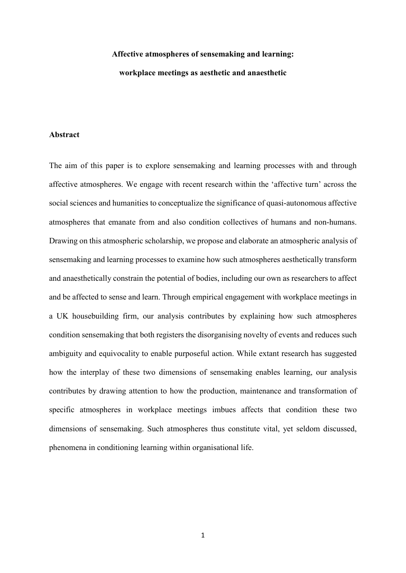# **Affective atmospheres of sensemaking and learning:**

### **workplace meetings as aesthetic and anaesthetic**

### **Abstract**

The aim of this paper is to explore sensemaking and learning processes with and through affective atmospheres. We engage with recent research within the 'affective turn' across the social sciences and humanities to conceptualize the significance of quasi-autonomous affective atmospheres that emanate from and also condition collectives of humans and non-humans. Drawing on this atmospheric scholarship, we propose and elaborate an atmospheric analysis of sensemaking and learning processes to examine how such atmospheres aesthetically transform and anaesthetically constrain the potential of bodies, including our own as researchers to affect and be affected to sense and learn. Through empirical engagement with workplace meetings in a UK housebuilding firm, our analysis contributes by explaining how such atmospheres condition sensemaking that both registers the disorganising novelty of events and reduces such ambiguity and equivocality to enable purposeful action. While extant research has suggested how the interplay of these two dimensions of sensemaking enables learning, our analysis contributes by drawing attention to how the production, maintenance and transformation of specific atmospheres in workplace meetings imbues affects that condition these two dimensions of sensemaking. Such atmospheres thus constitute vital, yet seldom discussed, phenomena in conditioning learning within organisational life.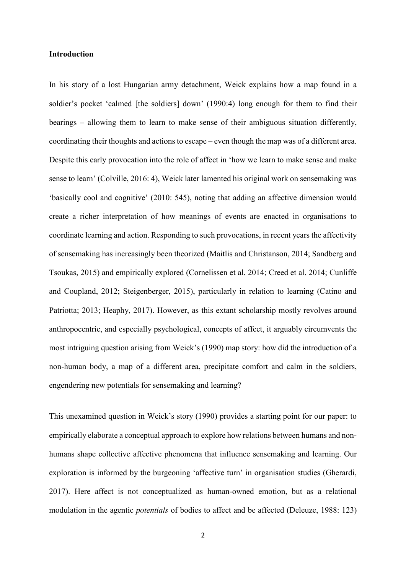## **Introduction**

In his story of a lost Hungarian army detachment, Weick explains how a map found in a soldier's pocket 'calmed [the soldiers] down' (1990:4) long enough for them to find their bearings – allowing them to learn to make sense of their ambiguous situation differently, coordinating their thoughts and actions to escape – even though the map was of a different area. Despite this early provocation into the role of affect in 'how we learn to make sense and make sense to learn' (Colville, 2016: 4), Weick later lamented his original work on sensemaking was 'basically cool and cognitive' (2010: 545), noting that adding an affective dimension would create a richer interpretation of how meanings of events are enacted in organisations to coordinate learning and action. Responding to such provocations, in recent years the affectivity of sensemaking has increasingly been theorized (Maitlis and Christanson, 2014; Sandberg and Tsoukas, 2015) and empirically explored (Cornelissen et al. 2014; Creed et al. 2014; Cunliffe and Coupland, 2012; Steigenberger, 2015), particularly in relation to learning (Catino and Patriotta; 2013; Heaphy, 2017). However, as this extant scholarship mostly revolves around anthropocentric, and especially psychological, concepts of affect, it arguably circumvents the most intriguing question arising from Weick's (1990) map story: how did the introduction of a non-human body, a map of a different area, precipitate comfort and calm in the soldiers, engendering new potentials for sensemaking and learning?

This unexamined question in Weick's story (1990) provides a starting point for our paper: to empirically elaborate a conceptual approach to explore how relations between humans and nonhumans shape collective affective phenomena that influence sensemaking and learning. Our exploration is informed by the burgeoning 'affective turn' in organisation studies (Gherardi, 2017). Here affect is not conceptualized as human-owned emotion, but as a relational modulation in the agentic *potentials* of bodies to affect and be affected (Deleuze, 1988: 123)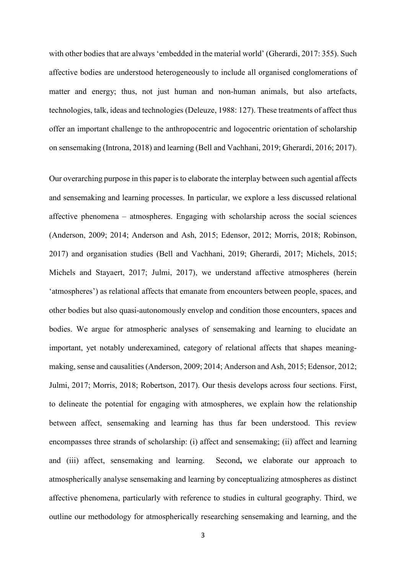with other bodies that are always 'embedded in the material world' (Gherardi, 2017: 355). Such affective bodies are understood heterogeneously to include all organised conglomerations of matter and energy; thus, not just human and non-human animals, but also artefacts, technologies, talk, ideas and technologies (Deleuze, 1988: 127). These treatments of affect thus offer an important challenge to the anthropocentric and logocentric orientation of scholarship on sensemaking (Introna, 2018) and learning (Bell and Vachhani, 2019; Gherardi, 2016; 2017).

Our overarching purpose in this paper is to elaborate the interplay between such agential affects and sensemaking and learning processes. In particular, we explore a less discussed relational affective phenomena – atmospheres. Engaging with scholarship across the social sciences (Anderson, 2009; 2014; Anderson and Ash, 2015; Edensor, 2012; Morris, 2018; Robinson, 2017) and organisation studies (Bell and Vachhani, 2019; Gherardi, 2017; Michels, 2015; Michels and Stayaert, 2017; Julmi, 2017), we understand affective atmospheres (herein 'atmospheres') as relational affects that emanate from encounters between people, spaces, and other bodies but also quasi-autonomously envelop and condition those encounters, spaces and bodies. We argue for atmospheric analyses of sensemaking and learning to elucidate an important, yet notably underexamined, category of relational affects that shapes meaningmaking, sense and causalities (Anderson, 2009; 2014; Anderson and Ash, 2015; Edensor, 2012; Julmi, 2017; Morris, 2018; Robertson, 2017). Our thesis develops across four sections. First, to delineate the potential for engaging with atmospheres, we explain how the relationship between affect, sensemaking and learning has thus far been understood. This review encompasses three strands of scholarship: (i) affect and sensemaking; (ii) affect and learning and (iii) affect, sensemaking and learning. Second**,** we elaborate our approach to atmospherically analyse sensemaking and learning by conceptualizing atmospheres as distinct affective phenomena, particularly with reference to studies in cultural geography. Third, we outline our methodology for atmospherically researching sensemaking and learning, and the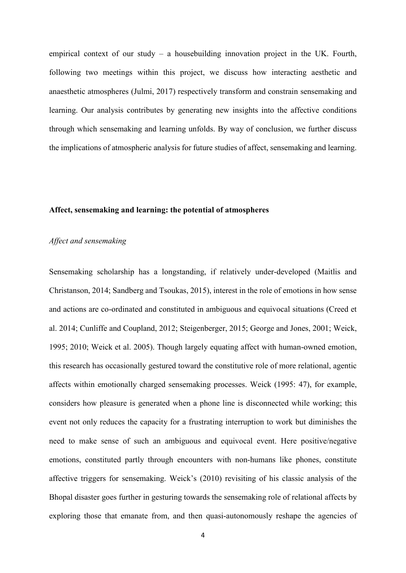empirical context of our study – a housebuilding innovation project in the UK. Fourth, following two meetings within this project, we discuss how interacting aesthetic and anaesthetic atmospheres (Julmi, 2017) respectively transform and constrain sensemaking and learning. Our analysis contributes by generating new insights into the affective conditions through which sensemaking and learning unfolds. By way of conclusion, we further discuss the implications of atmospheric analysis for future studies of affect, sensemaking and learning.

#### **Affect, sensemaking and learning: the potential of atmospheres**

### *Affect and sensemaking*

Sensemaking scholarship has a longstanding, if relatively under-developed (Maitlis and Christanson, 2014; Sandberg and Tsoukas, 2015), interest in the role of emotions in how sense and actions are co-ordinated and constituted in ambiguous and equivocal situations (Creed et al. 2014; Cunliffe and Coupland, 2012; Steigenberger, 2015; George and Jones, 2001; Weick, 1995; 2010; Weick et al. 2005). Though largely equating affect with human-owned emotion, this research has occasionally gestured toward the constitutive role of more relational, agentic affects within emotionally charged sensemaking processes. Weick (1995: 47), for example, considers how pleasure is generated when a phone line is disconnected while working; this event not only reduces the capacity for a frustrating interruption to work but diminishes the need to make sense of such an ambiguous and equivocal event. Here positive/negative emotions, constituted partly through encounters with non-humans like phones, constitute affective triggers for sensemaking. Weick's (2010) revisiting of his classic analysis of the Bhopal disaster goes further in gesturing towards the sensemaking role of relational affects by exploring those that emanate from, and then quasi-autonomously reshape the agencies of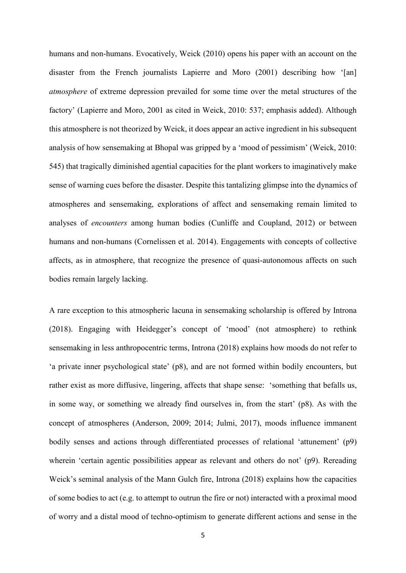humans and non-humans. Evocatively, Weick (2010) opens his paper with an account on the disaster from the French journalists Lapierre and Moro (2001) describing how '[an] *atmosphere* of extreme depression prevailed for some time over the metal structures of the factory' (Lapierre and Moro, 2001 as cited in Weick, 2010: 537; emphasis added). Although this atmosphere is not theorized by Weick, it does appear an active ingredient in his subsequent analysis of how sensemaking at Bhopal was gripped by a 'mood of pessimism' (Weick, 2010: 545) that tragically diminished agential capacities for the plant workers to imaginatively make sense of warning cues before the disaster. Despite this tantalizing glimpse into the dynamics of atmospheres and sensemaking, explorations of affect and sensemaking remain limited to analyses of *encounters* among human bodies (Cunliffe and Coupland, 2012) or between humans and non-humans (Cornelissen et al. 2014). Engagements with concepts of collective affects, as in atmosphere, that recognize the presence of quasi-autonomous affects on such bodies remain largely lacking.

A rare exception to this atmospheric lacuna in sensemaking scholarship is offered by Introna (2018). Engaging with Heidegger's concept of 'mood' (not atmosphere) to rethink sensemaking in less anthropocentric terms, Introna (2018) explains how moods do not refer to 'a private inner psychological state' (p8), and are not formed within bodily encounters, but rather exist as more diffusive, lingering, affects that shape sense: 'something that befalls us, in some way, or something we already find ourselves in, from the start' (p8). As with the concept of atmospheres (Anderson, 2009; 2014; Julmi, 2017), moods influence immanent bodily senses and actions through differentiated processes of relational 'attunement' (p9) wherein 'certain agentic possibilities appear as relevant and others do not' (p9). Rereading Weick's seminal analysis of the Mann Gulch fire, Introna (2018) explains how the capacities of some bodies to act (e.g. to attempt to outrun the fire or not) interacted with a proximal mood of worry and a distal mood of techno-optimism to generate different actions and sense in the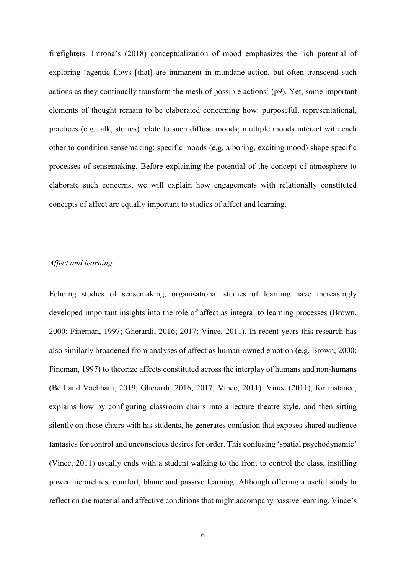firefighters. Introna's (2018) conceptualization of mood emphasizes the rich potential of exploring 'agentic flows [that] are immanent in mundane action, but often transcend such actions as they continually transform the mesh of possible actions' (p9). Yet, some important elements of thought remain to be elaborated concerning how: purposeful, representational, practices (e.g. talk, stories) relate to such diffuse moods; multiple moods interact with each other to condition sensemaking; specific moods (e.g. a boring, exciting mood) shape specific processes of sensemaking. Before explaining the potential of the concept of atmosphere to elaborate such concerns, we will explain how engagements with relationally constituted concepts of affect are equally important to studies of affect and learning.

## *Affect and learning*

Echoing studies of sensemaking, organisational studies of learning have increasingly developed important insights into the role of affect as integral to learning processes (Brown, 2000; Fineman, 1997; Gherardi, 2016; 2017; Vince, 2011). In recent years this research has also similarly broadened from analyses of affect as human-owned emotion (e.g. Brown, 2000; Fineman, 1997) to theorize affects constituted across the interplay of humans and non-humans (Bell and Vachhani, 2019; Gherardi, 2016; 2017; Vince, 2011). Vince (2011), for instance, explains how by configuring classroom chairs into a lecture theatre style, and then sitting silently on those chairs with his students, he generates confusion that exposes shared audience fantasies for control and unconscious desires for order. This confusing 'spatial psychodynamic' (Vince, 2011) usually ends with a student walking to the front to control the class, instilling power hierarchies, comfort, blame and passive learning. Although offering a useful study to reflect on the material and affective conditions that might accompany passive learning, Vince's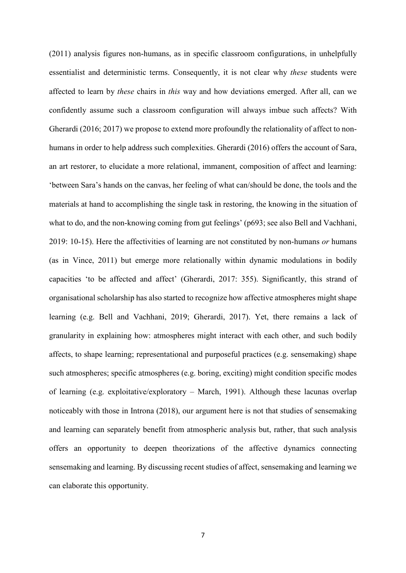(2011) analysis figures non-humans, as in specific classroom configurations, in unhelpfully essentialist and deterministic terms. Consequently, it is not clear why *these* students were affected to learn by *these* chairs in *this* way and how deviations emerged. After all, can we confidently assume such a classroom configuration will always imbue such affects? With Gherardi (2016; 2017) we propose to extend more profoundly the relationality of affect to nonhumans in order to help address such complexities. Gherardi (2016) offers the account of Sara, an art restorer, to elucidate a more relational, immanent, composition of affect and learning: 'between Sara's hands on the canvas, her feeling of what can/should be done, the tools and the materials at hand to accomplishing the single task in restoring, the knowing in the situation of what to do, and the non-knowing coming from gut feelings' (p693; see also Bell and Vachhani, 2019: 10-15). Here the affectivities of learning are not constituted by non-humans *or* humans (as in Vince, 2011) but emerge more relationally within dynamic modulations in bodily capacities 'to be affected and affect' (Gherardi, 2017: 355). Significantly, this strand of organisational scholarship has also started to recognize how affective atmospheres might shape learning (e.g. Bell and Vachhani, 2019; Gherardi, 2017). Yet, there remains a lack of granularity in explaining how: atmospheres might interact with each other, and such bodily affects, to shape learning; representational and purposeful practices (e.g. sensemaking) shape such atmospheres; specific atmospheres (e.g. boring, exciting) might condition specific modes of learning (e.g. exploitative/exploratory – March, 1991). Although these lacunas overlap noticeably with those in Introna (2018), our argument here is not that studies of sensemaking and learning can separately benefit from atmospheric analysis but, rather, that such analysis offers an opportunity to deepen theorizations of the affective dynamics connecting sensemaking and learning. By discussing recent studies of affect, sensemaking and learning we can elaborate this opportunity.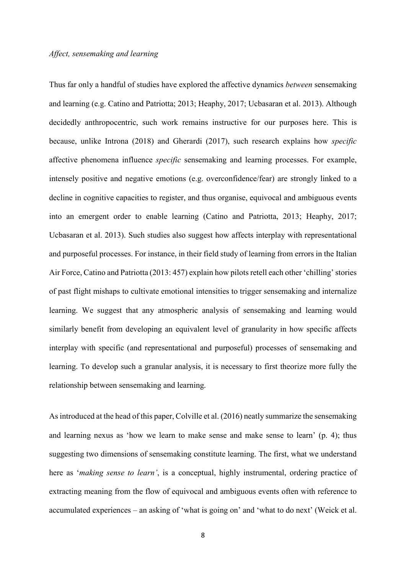Thus far only a handful of studies have explored the affective dynamics *between* sensemaking and learning (e.g. Catino and Patriotta; 2013; Heaphy, 2017; Ucbasaran et al. 2013). Although decidedly anthropocentric, such work remains instructive for our purposes here. This is because, unlike Introna (2018) and Gherardi (2017), such research explains how *specific* affective phenomena influence *specific* sensemaking and learning processes. For example, intensely positive and negative emotions (e.g. overconfidence/fear) are strongly linked to a decline in cognitive capacities to register, and thus organise, equivocal and ambiguous events into an emergent order to enable learning (Catino and Patriotta, 2013; Heaphy, 2017; Ucbasaran et al. 2013). Such studies also suggest how affects interplay with representational and purposeful processes. For instance, in their field study of learning from errors in the Italian Air Force, Catino and Patriotta (2013: 457) explain how pilots retell each other 'chilling' stories of past flight mishaps to cultivate emotional intensities to trigger sensemaking and internalize learning. We suggest that any atmospheric analysis of sensemaking and learning would similarly benefit from developing an equivalent level of granularity in how specific affects interplay with specific (and representational and purposeful) processes of sensemaking and learning. To develop such a granular analysis, it is necessary to first theorize more fully the relationship between sensemaking and learning.

As introduced at the head of this paper, Colville et al. (2016) neatly summarize the sensemaking and learning nexus as 'how we learn to make sense and make sense to learn' (p. 4); thus suggesting two dimensions of sensemaking constitute learning. The first, what we understand here as '*making sense to learn'*, is a conceptual, highly instrumental, ordering practice of extracting meaning from the flow of equivocal and ambiguous events often with reference to accumulated experiences – an asking of 'what is going on' and 'what to do next' (Weick et al.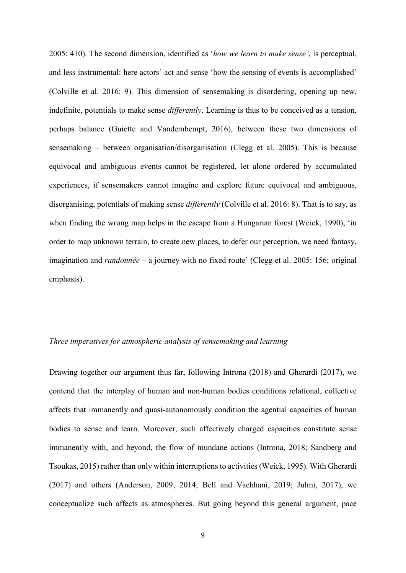2005: 410). The second dimension, identified as '*how we learn to make sense'*, is perceptual, and less instrumental: here actors' act and sense 'how the sensing of events is accomplished' (Colville et al. 2016: 9). This dimension of sensemaking is disordering, opening up new, indefinite, potentials to make sense *differently*. Learning is thus to be conceived as a tension, perhaps balance (Guiette and Vandembempt, 2016), between these two dimensions of sensemaking – between organisation/disorganisation (Clegg et al. 2005). This is because equivocal and ambiguous events cannot be registered, let alone ordered by accumulated experiences, if sensemakers cannot imagine and explore future equivocal and ambiguous, disorganising, potentials of making sense *differently* (Colville et al. 2016: 8). That is to say, as when finding the wrong map helps in the escape from a Hungarian forest (Weick, 1990), 'in order to map unknown terrain, to create new places, to defer our perception, we need fantasy, imagination and *randonnée* – a journey with no fixed route' (Clegg et al. 2005: 156; original emphasis).

## *Three imperatives for atmospheric analysis of sensemaking and learning*

Drawing together our argument thus far, following Introna (2018) and Gherardi (2017), we contend that the interplay of human and non-human bodies conditions relational, collective affects that immanently and quasi-autonomously condition the agential capacities of human bodies to sense and learn. Moreover, such affectively charged capacities constitute sense immanently with, and beyond, the flow of mundane actions (Introna, 2018; Sandberg and Tsoukas, 2015) rather than only within interruptions to activities (Weick, 1995). With Gherardi (2017) and others (Anderson, 2009; 2014; Bell and Vachhani, 2019; Julmi, 2017), we conceptualize such affects as atmospheres. But going beyond this general argument, pace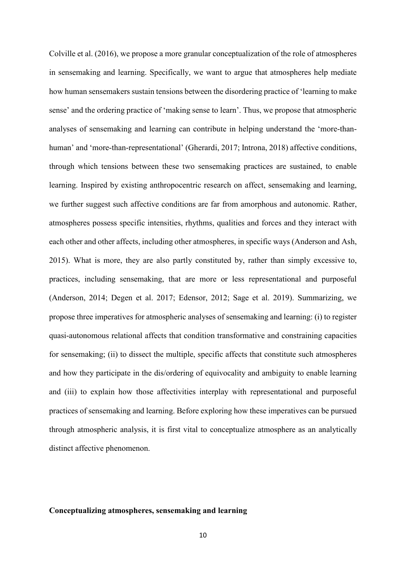Colville et al. (2016), we propose a more granular conceptualization of the role of atmospheres in sensemaking and learning. Specifically, we want to argue that atmospheres help mediate how human sensemakers sustain tensions between the disordering practice of 'learning to make sense' and the ordering practice of 'making sense to learn'. Thus, we propose that atmospheric analyses of sensemaking and learning can contribute in helping understand the 'more-thanhuman' and 'more-than-representational' (Gherardi, 2017; Introna, 2018) affective conditions, through which tensions between these two sensemaking practices are sustained, to enable learning. Inspired by existing anthropocentric research on affect, sensemaking and learning, we further suggest such affective conditions are far from amorphous and autonomic. Rather, atmospheres possess specific intensities, rhythms, qualities and forces and they interact with each other and other affects, including other atmospheres, in specific ways (Anderson and Ash, 2015). What is more, they are also partly constituted by, rather than simply excessive to, practices, including sensemaking, that are more or less representational and purposeful (Anderson, 2014; Degen et al. 2017; Edensor, 2012; Sage et al. 2019). Summarizing, we propose three imperatives for atmospheric analyses of sensemaking and learning: (i) to register quasi-autonomous relational affects that condition transformative and constraining capacities for sensemaking; (ii) to dissect the multiple, specific affects that constitute such atmospheres and how they participate in the dis/ordering of equivocality and ambiguity to enable learning and (iii) to explain how those affectivities interplay with representational and purposeful practices of sensemaking and learning. Before exploring how these imperatives can be pursued through atmospheric analysis, it is first vital to conceptualize atmosphere as an analytically distinct affective phenomenon.

# **Conceptualizing atmospheres, sensemaking and learning**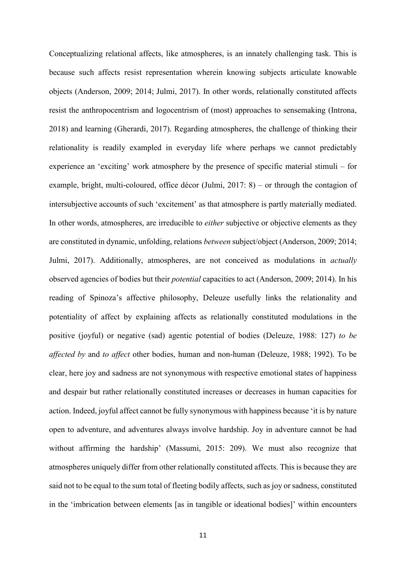Conceptualizing relational affects, like atmospheres, is an innately challenging task. This is because such affects resist representation wherein knowing subjects articulate knowable objects (Anderson, 2009; 2014; Julmi, 2017). In other words, relationally constituted affects resist the anthropocentrism and logocentrism of (most) approaches to sensemaking (Introna, 2018) and learning (Gherardi, 2017). Regarding atmospheres, the challenge of thinking their relationality is readily exampled in everyday life where perhaps we cannot predictably experience an 'exciting' work atmosphere by the presence of specific material stimuli – for example, bright, multi-coloured, office décor (Julmi, 2017: 8) – or through the contagion of intersubjective accounts of such 'excitement' as that atmosphere is partly materially mediated. In other words, atmospheres, are irreducible to *either* subjective or objective elements as they are constituted in dynamic, unfolding, relations *between* subject/object (Anderson, 2009; 2014; Julmi, 2017). Additionally, atmospheres, are not conceived as modulations in *actually*  observed agencies of bodies but their *potential* capacities to act (Anderson, 2009; 2014). In his reading of Spinoza's affective philosophy, Deleuze usefully links the relationality and potentiality of affect by explaining affects as relationally constituted modulations in the positive (joyful) or negative (sad) agentic potential of bodies (Deleuze, 1988: 127) *to be affected by* and *to affect* other bodies, human and non-human (Deleuze, 1988; 1992). To be clear, here joy and sadness are not synonymous with respective emotional states of happiness and despair but rather relationally constituted increases or decreases in human capacities for action. Indeed, joyful affect cannot be fully synonymous with happiness because 'it is by nature open to adventure, and adventures always involve hardship. Joy in adventure cannot be had without affirming the hardship' (Massumi, 2015: 209). We must also recognize that atmospheres uniquely differ from other relationally constituted affects. This is because they are said not to be equal to the sum total of fleeting bodily affects, such as joy or sadness, constituted in the 'imbrication between elements [as in tangible or ideational bodies]' within encounters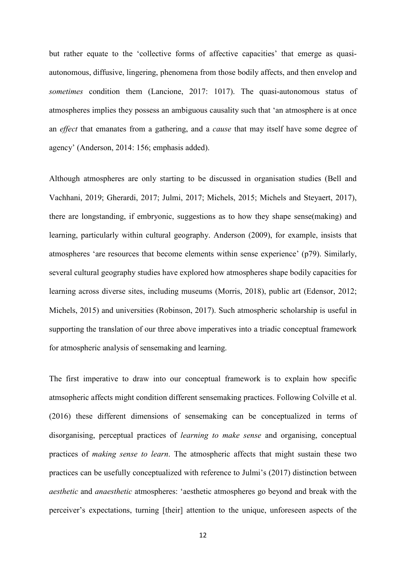but rather equate to the 'collective forms of affective capacities' that emerge as quasiautonomous, diffusive, lingering, phenomena from those bodily affects, and then envelop and *sometimes* condition them (Lancione, 2017: 1017). The quasi-autonomous status of atmospheres implies they possess an ambiguous causality such that 'an atmosphere is at once an *effect* that emanates from a gathering, and a *cause* that may itself have some degree of agency' (Anderson, 2014: 156; emphasis added).

Although atmospheres are only starting to be discussed in organisation studies (Bell and Vachhani, 2019; Gherardi, 2017; Julmi, 2017; Michels, 2015; Michels and Steyaert, 2017), there are longstanding, if embryonic, suggestions as to how they shape sense(making) and learning, particularly within cultural geography. Anderson (2009), for example, insists that atmospheres 'are resources that become elements within sense experience' (p79). Similarly, several cultural geography studies have explored how atmospheres shape bodily capacities for learning across diverse sites, including museums (Morris, 2018), public art (Edensor, 2012; Michels, 2015) and universities (Robinson, 2017). Such atmospheric scholarship is useful in supporting the translation of our three above imperatives into a triadic conceptual framework for atmospheric analysis of sensemaking and learning.

The first imperative to draw into our conceptual framework is to explain how specific atmsopheric affects might condition different sensemaking practices. Following Colville et al. (2016) these different dimensions of sensemaking can be conceptualized in terms of disorganising, perceptual practices of *learning to make sense* and organising, conceptual practices of *making sense to learn*. The atmospheric affects that might sustain these two practices can be usefully conceptualized with reference to Julmi's (2017) distinction between *aesthetic* and *anaesthetic* atmospheres: 'aesthetic atmospheres go beyond and break with the perceiver's expectations, turning [their] attention to the unique, unforeseen aspects of the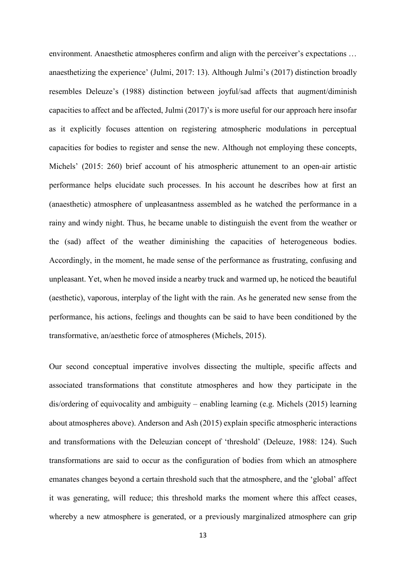environment. Anaesthetic atmospheres confirm and align with the perceiver's expectations … anaesthetizing the experience' (Julmi, 2017: 13). Although Julmi's (2017) distinction broadly resembles Deleuze's (1988) distinction between joyful/sad affects that augment/diminish capacities to affect and be affected, Julmi (2017)'s is more useful for our approach here insofar as it explicitly focuses attention on registering atmospheric modulations in perceptual capacities for bodies to register and sense the new. Although not employing these concepts, Michels' (2015: 260) brief account of his atmospheric attunement to an open-air artistic performance helps elucidate such processes. In his account he describes how at first an (anaesthetic) atmosphere of unpleasantness assembled as he watched the performance in a rainy and windy night. Thus, he became unable to distinguish the event from the weather or the (sad) affect of the weather diminishing the capacities of heterogeneous bodies. Accordingly, in the moment, he made sense of the performance as frustrating, confusing and unpleasant. Yet, when he moved inside a nearby truck and warmed up, he noticed the beautiful (aesthetic), vaporous, interplay of the light with the rain. As he generated new sense from the performance, his actions, feelings and thoughts can be said to have been conditioned by the transformative, an/aesthetic force of atmospheres (Michels, 2015).

Our second conceptual imperative involves dissecting the multiple, specific affects and associated transformations that constitute atmospheres and how they participate in the dis/ordering of equivocality and ambiguity – enabling learning (e.g. Michels (2015) learning about atmospheres above). Anderson and Ash (2015) explain specific atmospheric interactions and transformations with the Deleuzian concept of 'threshold' (Deleuze, 1988: 124). Such transformations are said to occur as the configuration of bodies from which an atmosphere emanates changes beyond a certain threshold such that the atmosphere, and the 'global' affect it was generating, will reduce; this threshold marks the moment where this affect ceases, whereby a new atmosphere is generated, or a previously marginalized atmosphere can grip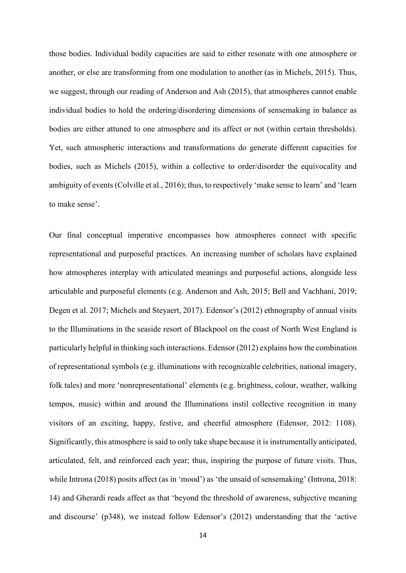those bodies. Individual bodily capacities are said to either resonate with one atmosphere or another, or else are transforming from one modulation to another (as in Michels, 2015). Thus, we suggest, through our reading of Anderson and Ash (2015), that atmospheres cannot enable individual bodies to hold the ordering/disordering dimensions of sensemaking in balance as bodies are either attuned to one atmosphere and its affect or not (within certain thresholds). Yet, such atmospheric interactions and transformations do generate different capacities for bodies, such as Michels (2015), within a collective to order/disorder the equivocality and ambiguity of events (Colville et al., 2016); thus, to respectively 'make sense to learn' and 'learn to make sense'.

Our final conceptual imperative encompasses how atmospheres connect with specific representational and purposeful practices. An increasing number of scholars have explained how atmospheres interplay with articulated meanings and purposeful actions, alongside less articulable and purposeful elements (e.g. Anderson and Ash, 2015; Bell and Vachhani, 2019; Degen et al. 2017; Michels and Steyaert, 2017). Edensor's (2012) ethnography of annual visits to the Illuminations in the seaside resort of Blackpool on the coast of North West England is particularly helpful in thinking such interactions. Edensor (2012) explains how the combination of representational symbols (e.g. illuminations with recognizable celebrities, national imagery, folk tales) and more 'nonrepresentational' elements (e.g. brightness, colour, weather, walking tempos, music) within and around the Illuminations instil collective recognition in many visitors of an exciting, happy, festive, and cheerful atmosphere (Edensor, 2012: 1108). Significantly, this atmosphere is said to only take shape because it is instrumentally anticipated, articulated, felt, and reinforced each year; thus, inspiring the purpose of future visits. Thus, while Introna (2018) posits affect (as in 'mood') as 'the unsaid of sensemaking' (Introna, 2018: 14) and Gherardi reads affect as that 'beyond the threshold of awareness, subjective meaning and discourse' (p348), we instead follow Edensor's (2012) understanding that the 'active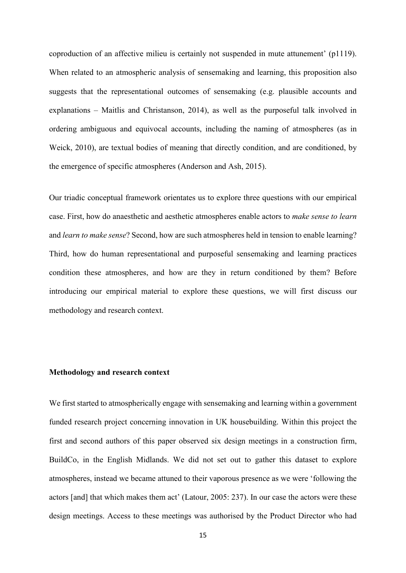coproduction of an affective milieu is certainly not suspended in mute attunement' (p1119). When related to an atmospheric analysis of sensemaking and learning, this proposition also suggests that the representational outcomes of sensemaking (e.g. plausible accounts and explanations – Maitlis and Christanson, 2014), as well as the purposeful talk involved in ordering ambiguous and equivocal accounts, including the naming of atmospheres (as in Weick, 2010), are textual bodies of meaning that directly condition, and are conditioned, by the emergence of specific atmospheres (Anderson and Ash, 2015).

Our triadic conceptual framework orientates us to explore three questions with our empirical case. First, how do anaesthetic and aesthetic atmospheres enable actors to *make sense to learn* and *learn to make sense*? Second, how are such atmospheres held in tension to enable learning? Third, how do human representational and purposeful sensemaking and learning practices condition these atmospheres, and how are they in return conditioned by them? Before introducing our empirical material to explore these questions, we will first discuss our methodology and research context.

## **Methodology and research context**

We first started to atmospherically engage with sensemaking and learning within a government funded research project concerning innovation in UK housebuilding. Within this project the first and second authors of this paper observed six design meetings in a construction firm, BuildCo, in the English Midlands. We did not set out to gather this dataset to explore atmospheres, instead we became attuned to their vaporous presence as we were 'following the actors [and] that which makes them act' (Latour, 2005: 237). In our case the actors were these design meetings. Access to these meetings was authorised by the Product Director who had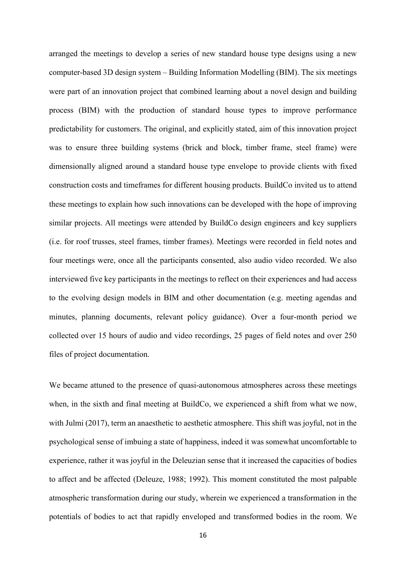arranged the meetings to develop a series of new standard house type designs using a new computer-based 3D design system – Building Information Modelling (BIM). The six meetings were part of an innovation project that combined learning about a novel design and building process (BIM) with the production of standard house types to improve performance predictability for customers. The original, and explicitly stated, aim of this innovation project was to ensure three building systems (brick and block, timber frame, steel frame) were dimensionally aligned around a standard house type envelope to provide clients with fixed construction costs and timeframes for different housing products. BuildCo invited us to attend these meetings to explain how such innovations can be developed with the hope of improving similar projects. All meetings were attended by BuildCo design engineers and key suppliers (i.e. for roof trusses, steel frames, timber frames). Meetings were recorded in field notes and four meetings were, once all the participants consented, also audio video recorded. We also interviewed five key participants in the meetings to reflect on their experiences and had access to the evolving design models in BIM and other documentation (e.g. meeting agendas and minutes, planning documents, relevant policy guidance). Over a four-month period we collected over 15 hours of audio and video recordings, 25 pages of field notes and over 250 files of project documentation.

We became attuned to the presence of quasi-autonomous atmospheres across these meetings when, in the sixth and final meeting at BuildCo, we experienced a shift from what we now, with Julmi (2017), term an anaesthetic to aesthetic atmosphere. This shift was joyful, not in the psychological sense of imbuing a state of happiness, indeed it was somewhat uncomfortable to experience, rather it was joyful in the Deleuzian sense that it increased the capacities of bodies to affect and be affected (Deleuze, 1988; 1992). This moment constituted the most palpable atmospheric transformation during our study, wherein we experienced a transformation in the potentials of bodies to act that rapidly enveloped and transformed bodies in the room. We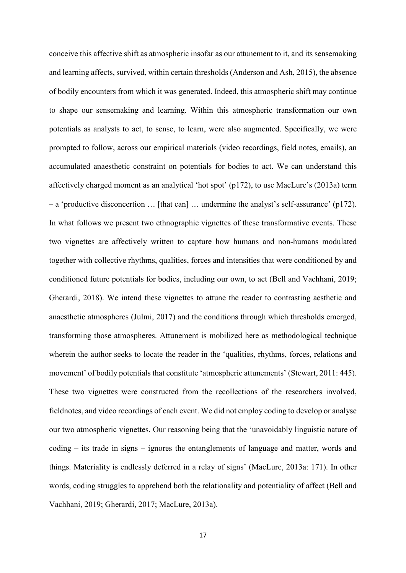conceive this affective shift as atmospheric insofar as our attunement to it, and its sensemaking and learning affects, survived, within certain thresholds (Anderson and Ash, 2015), the absence of bodily encounters from which it was generated. Indeed, this atmospheric shift may continue to shape our sensemaking and learning. Within this atmospheric transformation our own potentials as analysts to act, to sense, to learn, were also augmented. Specifically, we were prompted to follow, across our empirical materials (video recordings, field notes, emails), an accumulated anaesthetic constraint on potentials for bodies to act. We can understand this affectively charged moment as an analytical 'hot spot' (p172), to use MacLure's (2013a) term – a 'productive disconcertion … [that can] … undermine the analyst's self-assurance' (p172). In what follows we present two ethnographic vignettes of these transformative events. These two vignettes are affectively written to capture how humans and non-humans modulated together with collective rhythms, qualities, forces and intensities that were conditioned by and conditioned future potentials for bodies, including our own, to act (Bell and Vachhani, 2019; Gherardi, 2018). We intend these vignettes to attune the reader to contrasting aesthetic and anaesthetic atmospheres (Julmi, 2017) and the conditions through which thresholds emerged, transforming those atmospheres. Attunement is mobilized here as methodological technique wherein the author seeks to locate the reader in the 'qualities, rhythms, forces, relations and movement' of bodily potentials that constitute 'atmospheric attunements' (Stewart, 2011: 445). These two vignettes were constructed from the recollections of the researchers involved, fieldnotes, and video recordings of each event. We did not employ coding to develop or analyse our two atmospheric vignettes. Our reasoning being that the 'unavoidably linguistic nature of coding – its trade in signs – ignores the entanglements of language and matter, words and things. Materiality is endlessly deferred in a relay of signs' (MacLure, 2013a: 171). In other words, coding struggles to apprehend both the relationality and potentiality of affect (Bell and Vachhani, 2019; Gherardi, 2017; MacLure, 2013a).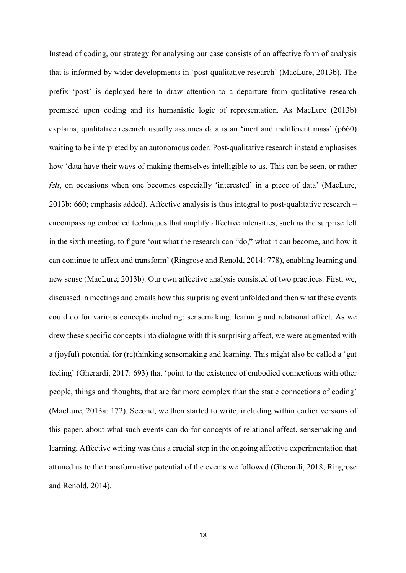Instead of coding, our strategy for analysing our case consists of an affective form of analysis that is informed by wider developments in 'post-qualitative research' (MacLure, 2013b). The prefix 'post' is deployed here to draw attention to a departure from qualitative research premised upon coding and its humanistic logic of representation. As MacLure (2013b) explains, qualitative research usually assumes data is an 'inert and indifferent mass' (p660) waiting to be interpreted by an autonomous coder. Post-qualitative research instead emphasises how 'data have their ways of making themselves intelligible to us. This can be seen, or rather *felt*, on occasions when one becomes especially 'interested' in a piece of data' (MacLure, 2013b: 660; emphasis added). Affective analysis is thus integral to post-qualitative research – encompassing embodied techniques that amplify affective intensities, such as the surprise felt in the sixth meeting, to figure 'out what the research can "do," what it can become, and how it can continue to affect and transform' (Ringrose and Renold, 2014: 778), enabling learning and new sense (MacLure, 2013b). Our own affective analysis consisted of two practices. First, we, discussed in meetings and emails how this surprising event unfolded and then what these events could do for various concepts including: sensemaking, learning and relational affect. As we drew these specific concepts into dialogue with this surprising affect, we were augmented with a (joyful) potential for (re)thinking sensemaking and learning. This might also be called a 'gut feeling' (Gherardi, 2017: 693) that 'point to the existence of embodied connections with other people, things and thoughts, that are far more complex than the static connections of coding' (MacLure, 2013a: 172). Second, we then started to write, including within earlier versions of this paper, about what such events can do for concepts of relational affect, sensemaking and learning, Affective writing was thus a crucial step in the ongoing affective experimentation that attuned us to the transformative potential of the events we followed (Gherardi, 2018; Ringrose and Renold, 2014).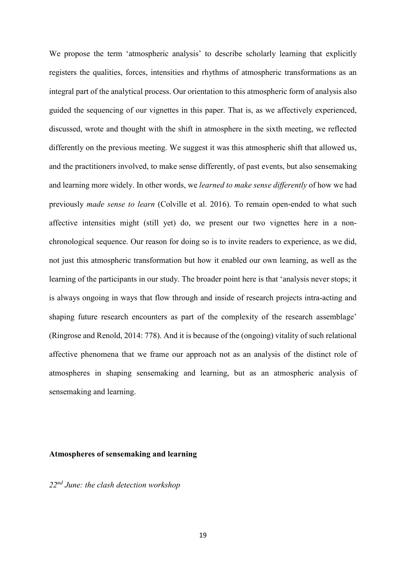We propose the term 'atmospheric analysis' to describe scholarly learning that explicitly registers the qualities, forces, intensities and rhythms of atmospheric transformations as an integral part of the analytical process. Our orientation to this atmospheric form of analysis also guided the sequencing of our vignettes in this paper. That is, as we affectively experienced, discussed, wrote and thought with the shift in atmosphere in the sixth meeting, we reflected differently on the previous meeting. We suggest it was this atmospheric shift that allowed us, and the practitioners involved, to make sense differently, of past events, but also sensemaking and learning more widely. In other words, we *learned to make sense differently* of how we had previously *made sense to learn* (Colville et al. 2016). To remain open-ended to what such affective intensities might (still yet) do, we present our two vignettes here in a nonchronological sequence. Our reason for doing so is to invite readers to experience, as we did, not just this atmospheric transformation but how it enabled our own learning, as well as the learning of the participants in our study. The broader point here is that 'analysis never stops; it is always ongoing in ways that flow through and inside of research projects intra-acting and shaping future research encounters as part of the complexity of the research assemblage' (Ringrose and Renold, 2014: 778). And it is because of the (ongoing) vitality of such relational affective phenomena that we frame our approach not as an analysis of the distinct role of atmospheres in shaping sensemaking and learning, but as an atmospheric analysis of sensemaking and learning.

### **Atmospheres of sensemaking and learning**

*22nd June: the clash detection workshop*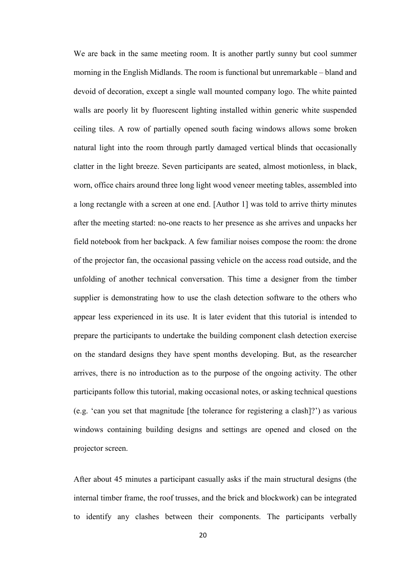We are back in the same meeting room. It is another partly sunny but cool summer morning in the English Midlands. The room is functional but unremarkable – bland and devoid of decoration, except a single wall mounted company logo. The white painted walls are poorly lit by fluorescent lighting installed within generic white suspended ceiling tiles. A row of partially opened south facing windows allows some broken natural light into the room through partly damaged vertical blinds that occasionally clatter in the light breeze. Seven participants are seated, almost motionless, in black, worn, office chairs around three long light wood veneer meeting tables, assembled into a long rectangle with a screen at one end. [Author 1] was told to arrive thirty minutes after the meeting started: no-one reacts to her presence as she arrives and unpacks her field notebook from her backpack. A few familiar noises compose the room: the drone of the projector fan, the occasional passing vehicle on the access road outside, and the unfolding of another technical conversation. This time a designer from the timber supplier is demonstrating how to use the clash detection software to the others who appear less experienced in its use. It is later evident that this tutorial is intended to prepare the participants to undertake the building component clash detection exercise on the standard designs they have spent months developing. But, as the researcher arrives, there is no introduction as to the purpose of the ongoing activity. The other participants follow this tutorial, making occasional notes, or asking technical questions (e.g. 'can you set that magnitude [the tolerance for registering a clash]?') as various windows containing building designs and settings are opened and closed on the projector screen.

After about 45 minutes a participant casually asks if the main structural designs (the internal timber frame, the roof trusses, and the brick and blockwork) can be integrated to identify any clashes between their components. The participants verbally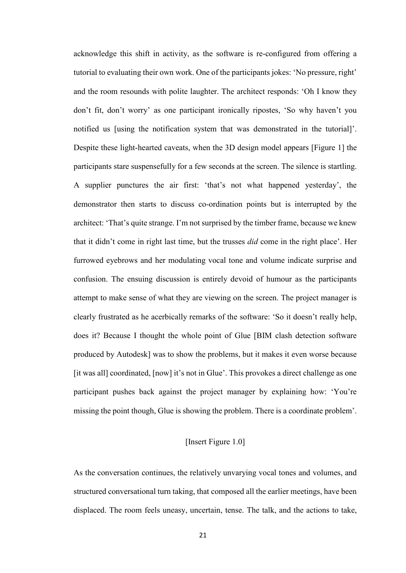acknowledge this shift in activity, as the software is re-configured from offering a tutorial to evaluating their own work. One of the participants jokes: 'No pressure, right' and the room resounds with polite laughter. The architect responds: 'Oh I know they don't fit, don't worry' as one participant ironically ripostes, 'So why haven't you notified us [using the notification system that was demonstrated in the tutorial]'. Despite these light-hearted caveats, when the 3D design model appears [Figure 1] the participants stare suspensefully for a few seconds at the screen. The silence is startling. A supplier punctures the air first: 'that's not what happened yesterday', the demonstrator then starts to discuss co-ordination points but is interrupted by the architect: 'That's quite strange. I'm not surprised by the timber frame, because we knew that it didn't come in right last time, but the trusses *did* come in the right place'. Her furrowed eyebrows and her modulating vocal tone and volume indicate surprise and confusion. The ensuing discussion is entirely devoid of humour as the participants attempt to make sense of what they are viewing on the screen. The project manager is clearly frustrated as he acerbically remarks of the software: 'So it doesn't really help, does it? Because I thought the whole point of Glue [BIM clash detection software produced by Autodesk] was to show the problems, but it makes it even worse because [it was all] coordinated, [now] it's not in Glue'. This provokes a direct challenge as one participant pushes back against the project manager by explaining how: 'You're missing the point though, Glue is showing the problem. There is a coordinate problem'.

## [Insert Figure 1.0]

As the conversation continues, the relatively unvarying vocal tones and volumes, and structured conversational turn taking, that composed all the earlier meetings, have been displaced. The room feels uneasy, uncertain, tense. The talk, and the actions to take,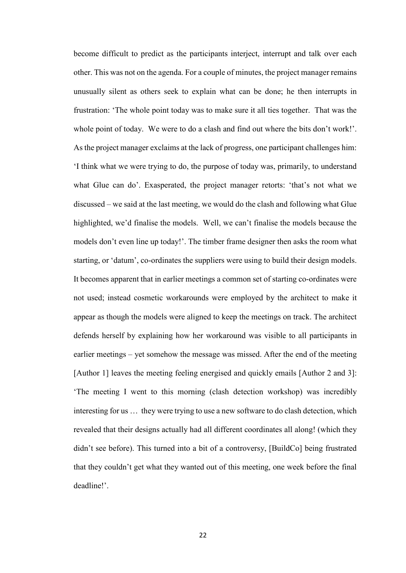become difficult to predict as the participants interject, interrupt and talk over each other. This was not on the agenda. For a couple of minutes, the project manager remains unusually silent as others seek to explain what can be done; he then interrupts in frustration: 'The whole point today was to make sure it all ties together. That was the whole point of today. We were to do a clash and find out where the bits don't work!'. As the project manager exclaims at the lack of progress, one participant challenges him: 'I think what we were trying to do, the purpose of today was, primarily, to understand what Glue can do'. Exasperated, the project manager retorts: 'that's not what we discussed – we said at the last meeting, we would do the clash and following what Glue highlighted, we'd finalise the models. Well, we can't finalise the models because the models don't even line up today!'. The timber frame designer then asks the room what starting, or 'datum', co-ordinates the suppliers were using to build their design models. It becomes apparent that in earlier meetings a common set of starting co-ordinates were not used; instead cosmetic workarounds were employed by the architect to make it appear as though the models were aligned to keep the meetings on track. The architect defends herself by explaining how her workaround was visible to all participants in earlier meetings – yet somehow the message was missed. After the end of the meeting [Author 1] leaves the meeting feeling energised and quickly emails [Author 2 and 3]: 'The meeting I went to this morning (clash detection workshop) was incredibly interesting for us … they were trying to use a new software to do clash detection, which revealed that their designs actually had all different coordinates all along! (which they didn't see before). This turned into a bit of a controversy, [BuildCo] being frustrated that they couldn't get what they wanted out of this meeting, one week before the final deadline!'.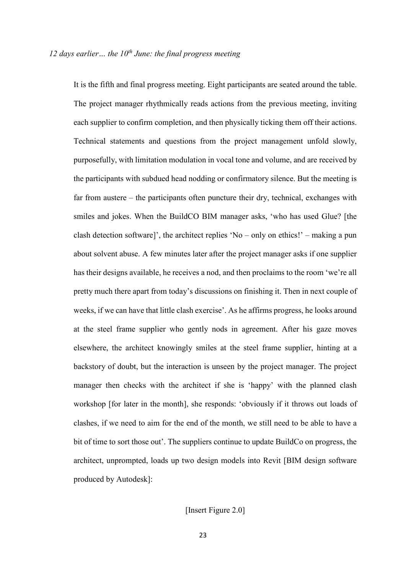It is the fifth and final progress meeting. Eight participants are seated around the table. The project manager rhythmically reads actions from the previous meeting, inviting each supplier to confirm completion, and then physically ticking them off their actions. Technical statements and questions from the project management unfold slowly, purposefully, with limitation modulation in vocal tone and volume, and are received by the participants with subdued head nodding or confirmatory silence. But the meeting is far from austere – the participants often puncture their dry, technical, exchanges with smiles and jokes. When the BuildCO BIM manager asks, 'who has used Glue? [the clash detection software]', the architect replies 'No – only on ethics!' – making a pun about solvent abuse. A few minutes later after the project manager asks if one supplier has their designs available, he receives a nod, and then proclaims to the room 'we're all pretty much there apart from today's discussions on finishing it. Then in next couple of weeks, if we can have that little clash exercise'. As he affirms progress, he looks around at the steel frame supplier who gently nods in agreement. After his gaze moves elsewhere, the architect knowingly smiles at the steel frame supplier, hinting at a backstory of doubt, but the interaction is unseen by the project manager. The project manager then checks with the architect if she is 'happy' with the planned clash workshop [for later in the month], she responds: 'obviously if it throws out loads of clashes, if we need to aim for the end of the month, we still need to be able to have a bit of time to sort those out'. The suppliers continue to update BuildCo on progress, the architect, unprompted, loads up two design models into Revit [BIM design software produced by Autodesk]:

## [Insert Figure 2.0]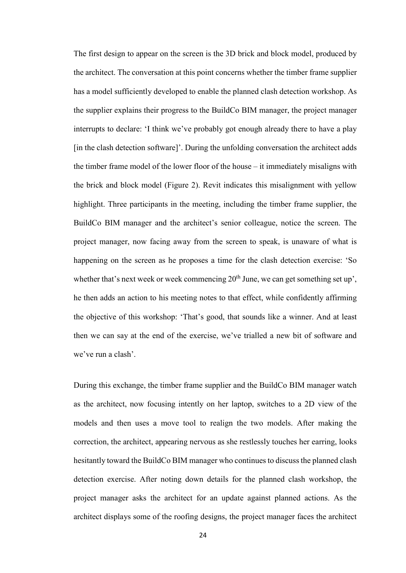The first design to appear on the screen is the 3D brick and block model, produced by the architect. The conversation at this point concerns whether the timber frame supplier has a model sufficiently developed to enable the planned clash detection workshop. As the supplier explains their progress to the BuildCo BIM manager, the project manager interrupts to declare: 'I think we've probably got enough already there to have a play [in the clash detection software]'. During the unfolding conversation the architect adds the timber frame model of the lower floor of the house – it immediately misaligns with the brick and block model (Figure 2). Revit indicates this misalignment with yellow highlight. Three participants in the meeting, including the timber frame supplier, the BuildCo BIM manager and the architect's senior colleague, notice the screen. The project manager, now facing away from the screen to speak, is unaware of what is happening on the screen as he proposes a time for the clash detection exercise: 'So whether that's next week or week commencing  $20<sup>th</sup>$  June, we can get something set up', he then adds an action to his meeting notes to that effect, while confidently affirming the objective of this workshop: 'That's good, that sounds like a winner. And at least then we can say at the end of the exercise, we've trialled a new bit of software and we've run a clash'.

During this exchange, the timber frame supplier and the BuildCo BIM manager watch as the architect, now focusing intently on her laptop, switches to a 2D view of the models and then uses a move tool to realign the two models. After making the correction, the architect, appearing nervous as she restlessly touches her earring, looks hesitantly toward the BuildCo BIM manager who continues to discuss the planned clash detection exercise. After noting down details for the planned clash workshop, the project manager asks the architect for an update against planned actions. As the architect displays some of the roofing designs, the project manager faces the architect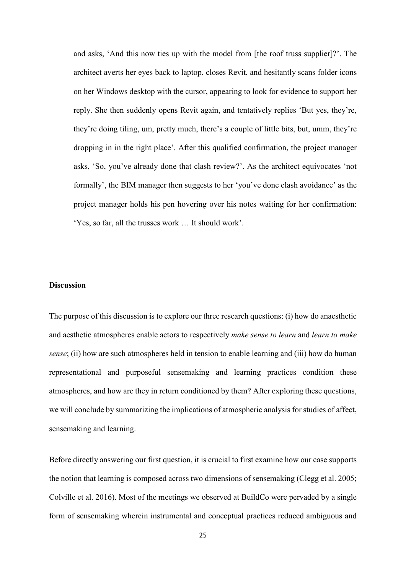and asks, 'And this now ties up with the model from [the roof truss supplier]?'. The architect averts her eyes back to laptop, closes Revit, and hesitantly scans folder icons on her Windows desktop with the cursor, appearing to look for evidence to support her reply. She then suddenly opens Revit again, and tentatively replies 'But yes, they're, they're doing tiling, um, pretty much, there's a couple of little bits, but, umm, they're dropping in in the right place'. After this qualified confirmation, the project manager asks, 'So, you've already done that clash review?'. As the architect equivocates 'not formally', the BIM manager then suggests to her 'you've done clash avoidance' as the project manager holds his pen hovering over his notes waiting for her confirmation: 'Yes, so far, all the trusses work … It should work'.

### **Discussion**

The purpose of this discussion is to explore our three research questions: (i) how do anaesthetic and aesthetic atmospheres enable actors to respectively *make sense to learn* and *learn to make sense*; (ii) how are such atmospheres held in tension to enable learning and (iii) how do human representational and purposeful sensemaking and learning practices condition these atmospheres, and how are they in return conditioned by them? After exploring these questions, we will conclude by summarizing the implications of atmospheric analysis for studies of affect, sensemaking and learning.

Before directly answering our first question, it is crucial to first examine how our case supports the notion that learning is composed across two dimensions of sensemaking (Clegg et al. 2005; Colville et al. 2016). Most of the meetings we observed at BuildCo were pervaded by a single form of sensemaking wherein instrumental and conceptual practices reduced ambiguous and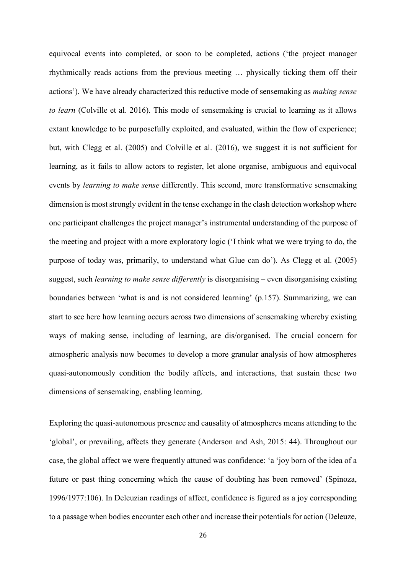equivocal events into completed, or soon to be completed, actions ('the project manager rhythmically reads actions from the previous meeting … physically ticking them off their actions'). We have already characterized this reductive mode of sensemaking as *making sense to learn* (Colville et al. 2016). This mode of sensemaking is crucial to learning as it allows extant knowledge to be purposefully exploited, and evaluated, within the flow of experience; but, with Clegg et al. (2005) and Colville et al. (2016), we suggest it is not sufficient for learning, as it fails to allow actors to register, let alone organise, ambiguous and equivocal events by *learning to make sense* differently. This second, more transformative sensemaking dimension is most strongly evident in the tense exchange in the clash detection workshop where one participant challenges the project manager's instrumental understanding of the purpose of the meeting and project with a more exploratory logic ('I think what we were trying to do, the purpose of today was, primarily, to understand what Glue can do'). As Clegg et al. (2005) suggest, such *learning to make sense differently* is disorganising – even disorganising existing boundaries between 'what is and is not considered learning' (p.157). Summarizing, we can start to see here how learning occurs across two dimensions of sensemaking whereby existing ways of making sense, including of learning, are dis/organised. The crucial concern for atmospheric analysis now becomes to develop a more granular analysis of how atmospheres quasi-autonomously condition the bodily affects, and interactions, that sustain these two dimensions of sensemaking, enabling learning.

Exploring the quasi-autonomous presence and causality of atmospheres means attending to the 'global', or prevailing, affects they generate (Anderson and Ash, 2015: 44). Throughout our case, the global affect we were frequently attuned was confidence: 'a 'joy born of the idea of a future or past thing concerning which the cause of doubting has been removed' (Spinoza, 1996/1977:106). In Deleuzian readings of affect, confidence is figured as a joy corresponding to a passage when bodies encounter each other and increase their potentials for action (Deleuze,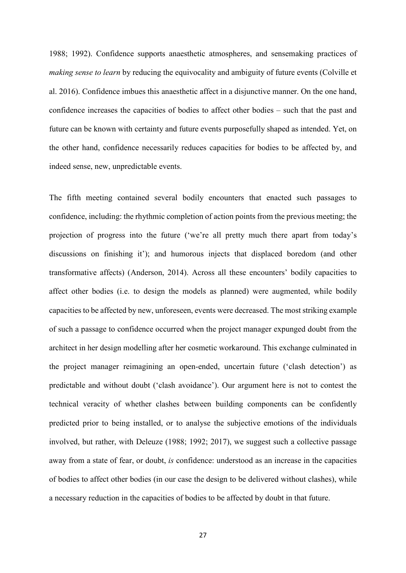1988; 1992). Confidence supports anaesthetic atmospheres, and sensemaking practices of *making sense to learn* by reducing the equivocality and ambiguity of future events (Colville et al. 2016). Confidence imbues this anaesthetic affect in a disjunctive manner. On the one hand, confidence increases the capacities of bodies to affect other bodies – such that the past and future can be known with certainty and future events purposefully shaped as intended. Yet, on the other hand, confidence necessarily reduces capacities for bodies to be affected by, and indeed sense, new, unpredictable events.

The fifth meeting contained several bodily encounters that enacted such passages to confidence, including: the rhythmic completion of action points from the previous meeting; the projection of progress into the future ('we're all pretty much there apart from today's discussions on finishing it'); and humorous injects that displaced boredom (and other transformative affects) (Anderson, 2014). Across all these encounters' bodily capacities to affect other bodies (i.e. to design the models as planned) were augmented, while bodily capacities to be affected by new, unforeseen, events were decreased. The most striking example of such a passage to confidence occurred when the project manager expunged doubt from the architect in her design modelling after her cosmetic workaround. This exchange culminated in the project manager reimagining an open-ended, uncertain future ('clash detection') as predictable and without doubt ('clash avoidance'). Our argument here is not to contest the technical veracity of whether clashes between building components can be confidently predicted prior to being installed, or to analyse the subjective emotions of the individuals involved, but rather, with Deleuze (1988; 1992; 2017), we suggest such a collective passage away from a state of fear, or doubt, *is* confidence: understood as an increase in the capacities of bodies to affect other bodies (in our case the design to be delivered without clashes), while a necessary reduction in the capacities of bodies to be affected by doubt in that future.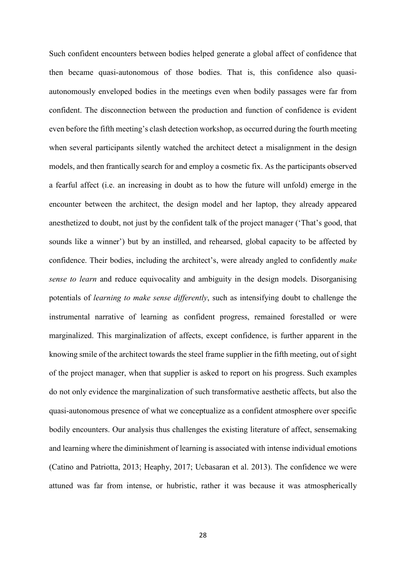Such confident encounters between bodies helped generate a global affect of confidence that then became quasi-autonomous of those bodies. That is, this confidence also quasiautonomously enveloped bodies in the meetings even when bodily passages were far from confident. The disconnection between the production and function of confidence is evident even before the fifth meeting's clash detection workshop, as occurred during the fourth meeting when several participants silently watched the architect detect a misalignment in the design models, and then frantically search for and employ a cosmetic fix. As the participants observed a fearful affect (i.e. an increasing in doubt as to how the future will unfold) emerge in the encounter between the architect, the design model and her laptop, they already appeared anesthetized to doubt, not just by the confident talk of the project manager ('That's good, that sounds like a winner') but by an instilled, and rehearsed, global capacity to be affected by confidence. Their bodies, including the architect's, were already angled to confidently *make sense to learn* and reduce equivocality and ambiguity in the design models. Disorganising potentials of *learning to make sense differently*, such as intensifying doubt to challenge the instrumental narrative of learning as confident progress, remained forestalled or were marginalized. This marginalization of affects, except confidence, is further apparent in the knowing smile of the architect towards the steel frame supplier in the fifth meeting, out of sight of the project manager, when that supplier is asked to report on his progress. Such examples do not only evidence the marginalization of such transformative aesthetic affects, but also the quasi-autonomous presence of what we conceptualize as a confident atmosphere over specific bodily encounters. Our analysis thus challenges the existing literature of affect, sensemaking and learning where the diminishment of learning is associated with intense individual emotions (Catino and Patriotta, 2013; Heaphy, 2017; Ucbasaran et al. 2013). The confidence we were attuned was far from intense, or hubristic, rather it was because it was atmospherically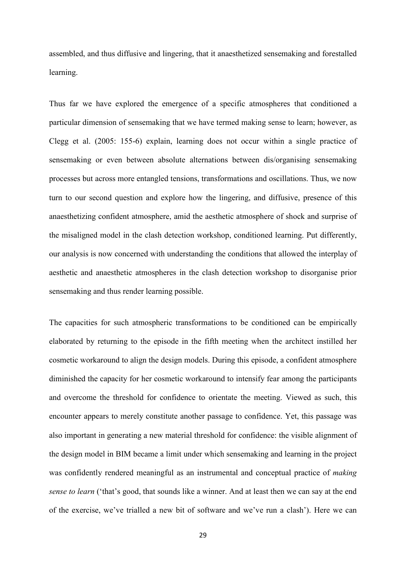assembled, and thus diffusive and lingering, that it anaesthetized sensemaking and forestalled learning.

Thus far we have explored the emergence of a specific atmospheres that conditioned a particular dimension of sensemaking that we have termed making sense to learn; however, as Clegg et al. (2005: 155-6) explain, learning does not occur within a single practice of sensemaking or even between absolute alternations between dis/organising sensemaking processes but across more entangled tensions, transformations and oscillations. Thus, we now turn to our second question and explore how the lingering, and diffusive, presence of this anaesthetizing confident atmosphere, amid the aesthetic atmosphere of shock and surprise of the misaligned model in the clash detection workshop, conditioned learning. Put differently, our analysis is now concerned with understanding the conditions that allowed the interplay of aesthetic and anaesthetic atmospheres in the clash detection workshop to disorganise prior sensemaking and thus render learning possible.

The capacities for such atmospheric transformations to be conditioned can be empirically elaborated by returning to the episode in the fifth meeting when the architect instilled her cosmetic workaround to align the design models. During this episode, a confident atmosphere diminished the capacity for her cosmetic workaround to intensify fear among the participants and overcome the threshold for confidence to orientate the meeting. Viewed as such, this encounter appears to merely constitute another passage to confidence. Yet, this passage was also important in generating a new material threshold for confidence: the visible alignment of the design model in BIM became a limit under which sensemaking and learning in the project was confidently rendered meaningful as an instrumental and conceptual practice of *making sense to learn* ('that's good, that sounds like a winner. And at least then we can say at the end of the exercise, we've trialled a new bit of software and we've run a clash'). Here we can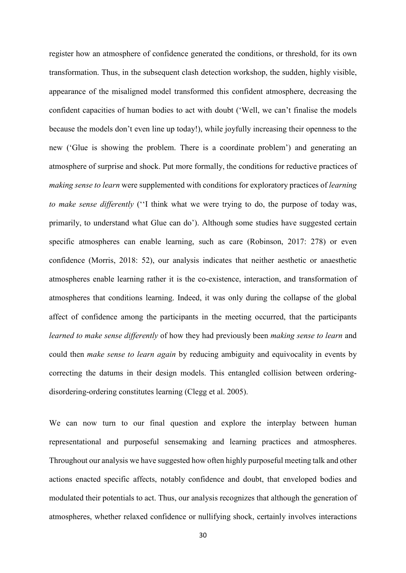register how an atmosphere of confidence generated the conditions, or threshold, for its own transformation. Thus, in the subsequent clash detection workshop, the sudden, highly visible, appearance of the misaligned model transformed this confident atmosphere, decreasing the confident capacities of human bodies to act with doubt ('Well, we can't finalise the models because the models don't even line up today!), while joyfully increasing their openness to the new ('Glue is showing the problem. There is a coordinate problem') and generating an atmosphere of surprise and shock. Put more formally, the conditions for reductive practices of *making sense to learn* were supplemented with conditions for exploratory practices of *learning to make sense differently* (''I think what we were trying to do, the purpose of today was, primarily, to understand what Glue can do'). Although some studies have suggested certain specific atmospheres can enable learning, such as care (Robinson, 2017: 278) or even confidence (Morris, 2018: 52), our analysis indicates that neither aesthetic or anaesthetic atmospheres enable learning rather it is the co-existence, interaction, and transformation of atmospheres that conditions learning. Indeed, it was only during the collapse of the global affect of confidence among the participants in the meeting occurred, that the participants *learned to make sense differently* of how they had previously been *making sense to learn* and could then *make sense to learn again* by reducing ambiguity and equivocality in events by correcting the datums in their design models. This entangled collision between orderingdisordering-ordering constitutes learning (Clegg et al. 2005).

We can now turn to our final question and explore the interplay between human representational and purposeful sensemaking and learning practices and atmospheres. Throughout our analysis we have suggested how often highly purposeful meeting talk and other actions enacted specific affects, notably confidence and doubt, that enveloped bodies and modulated their potentials to act. Thus, our analysis recognizes that although the generation of atmospheres, whether relaxed confidence or nullifying shock, certainly involves interactions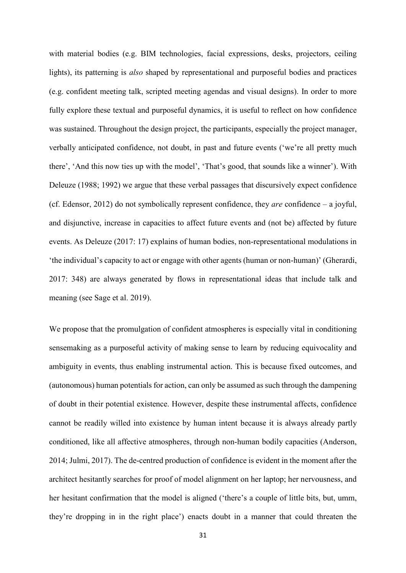with material bodies (e.g. BIM technologies, facial expressions, desks, projectors, ceiling lights), its patterning is *also* shaped by representational and purposeful bodies and practices (e.g. confident meeting talk, scripted meeting agendas and visual designs). In order to more fully explore these textual and purposeful dynamics, it is useful to reflect on how confidence was sustained. Throughout the design project, the participants, especially the project manager, verbally anticipated confidence, not doubt, in past and future events ('we're all pretty much there', 'And this now ties up with the model', 'That's good, that sounds like a winner'). With Deleuze (1988; 1992) we argue that these verbal passages that discursively expect confidence (cf. Edensor, 2012) do not symbolically represent confidence, they *are* confidence – a joyful, and disjunctive, increase in capacities to affect future events and (not be) affected by future events. As Deleuze (2017: 17) explains of human bodies, non-representational modulations in 'the individual's capacity to act or engage with other agents (human or non-human)' (Gherardi, 2017: 348) are always generated by flows in representational ideas that include talk and meaning (see Sage et al. 2019).

We propose that the promulgation of confident atmospheres is especially vital in conditioning sensemaking as a purposeful activity of making sense to learn by reducing equivocality and ambiguity in events, thus enabling instrumental action. This is because fixed outcomes, and (autonomous) human potentials for action, can only be assumed as such through the dampening of doubt in their potential existence. However, despite these instrumental affects, confidence cannot be readily willed into existence by human intent because it is always already partly conditioned, like all affective atmospheres, through non-human bodily capacities (Anderson, 2014; Julmi, 2017). The de-centred production of confidence is evident in the moment after the architect hesitantly searches for proof of model alignment on her laptop; her nervousness, and her hesitant confirmation that the model is aligned ('there's a couple of little bits, but, umm, they're dropping in in the right place') enacts doubt in a manner that could threaten the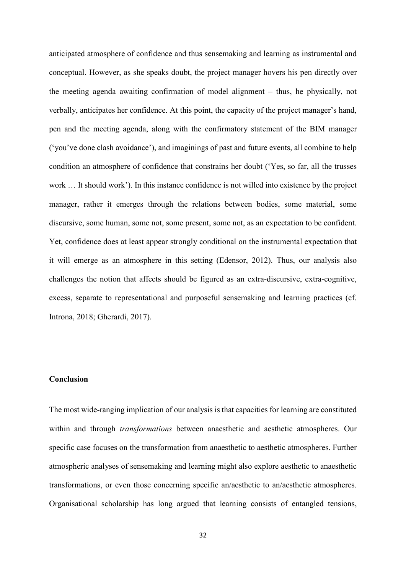anticipated atmosphere of confidence and thus sensemaking and learning as instrumental and conceptual. However, as she speaks doubt, the project manager hovers his pen directly over the meeting agenda awaiting confirmation of model alignment – thus, he physically, not verbally, anticipates her confidence. At this point, the capacity of the project manager's hand, pen and the meeting agenda, along with the confirmatory statement of the BIM manager ('you've done clash avoidance'), and imaginings of past and future events, all combine to help condition an atmosphere of confidence that constrains her doubt ('Yes, so far, all the trusses work … It should work'). In this instance confidence is not willed into existence by the project manager, rather it emerges through the relations between bodies, some material, some discursive, some human, some not, some present, some not, as an expectation to be confident. Yet, confidence does at least appear strongly conditional on the instrumental expectation that it will emerge as an atmosphere in this setting (Edensor, 2012). Thus, our analysis also challenges the notion that affects should be figured as an extra-discursive, extra-cognitive, excess, separate to representational and purposeful sensemaking and learning practices (cf. Introna, 2018; Gherardi, 2017).

## **Conclusion**

The most wide-ranging implication of our analysis is that capacities for learning are constituted within and through *transformations* between anaesthetic and aesthetic atmospheres. Our specific case focuses on the transformation from anaesthetic to aesthetic atmospheres. Further atmospheric analyses of sensemaking and learning might also explore aesthetic to anaesthetic transformations, or even those concerning specific an/aesthetic to an/aesthetic atmospheres. Organisational scholarship has long argued that learning consists of entangled tensions,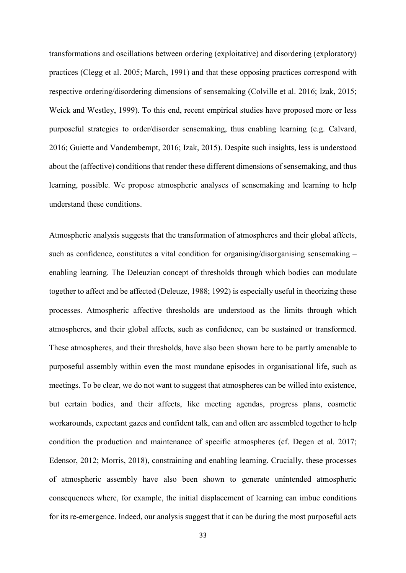transformations and oscillations between ordering (exploitative) and disordering (exploratory) practices (Clegg et al. 2005; March, 1991) and that these opposing practices correspond with respective ordering/disordering dimensions of sensemaking (Colville et al. 2016; Izak, 2015; Weick and Westley, 1999). To this end, recent empirical studies have proposed more or less purposeful strategies to order/disorder sensemaking, thus enabling learning (e.g. Calvard, 2016; Guiette and Vandembempt, 2016; Izak, 2015). Despite such insights, less is understood about the (affective) conditions that render these different dimensions of sensemaking, and thus learning, possible. We propose atmospheric analyses of sensemaking and learning to help understand these conditions.

Atmospheric analysis suggests that the transformation of atmospheres and their global affects, such as confidence, constitutes a vital condition for organising/disorganising sensemaking – enabling learning. The Deleuzian concept of thresholds through which bodies can modulate together to affect and be affected (Deleuze, 1988; 1992) is especially useful in theorizing these processes. Atmospheric affective thresholds are understood as the limits through which atmospheres, and their global affects, such as confidence, can be sustained or transformed. These atmospheres, and their thresholds, have also been shown here to be partly amenable to purposeful assembly within even the most mundane episodes in organisational life, such as meetings. To be clear, we do not want to suggest that atmospheres can be willed into existence, but certain bodies, and their affects, like meeting agendas, progress plans, cosmetic workarounds, expectant gazes and confident talk, can and often are assembled together to help condition the production and maintenance of specific atmospheres (cf. Degen et al. 2017; Edensor, 2012; Morris, 2018), constraining and enabling learning. Crucially, these processes of atmospheric assembly have also been shown to generate unintended atmospheric consequences where, for example, the initial displacement of learning can imbue conditions for its re-emergence. Indeed, our analysis suggest that it can be during the most purposeful acts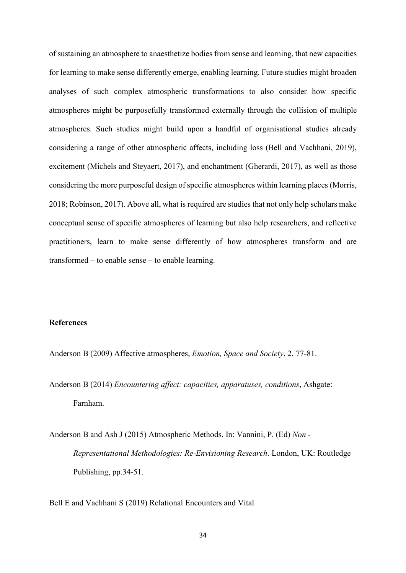of sustaining an atmosphere to anaesthetize bodies from sense and learning, that new capacities for learning to make sense differently emerge, enabling learning. Future studies might broaden analyses of such complex atmospheric transformations to also consider how specific atmospheres might be purposefully transformed externally through the collision of multiple atmospheres. Such studies might build upon a handful of organisational studies already considering a range of other atmospheric affects, including loss (Bell and Vachhani, 2019), excitement (Michels and Steyaert, 2017), and enchantment (Gherardi, 2017), as well as those considering the more purposeful design of specific atmospheres within learning places (Morris, 2018; Robinson, 2017). Above all, what is required are studies that not only help scholars make conceptual sense of specific atmospheres of learning but also help researchers, and reflective practitioners, learn to make sense differently of how atmospheres transform and are transformed – to enable sense – to enable learning.

## **References**

Anderson B (2009) Affective atmospheres, *Emotion, Space and Society*, 2, 77-81.

Anderson B (2014) *Encountering affect: capacities, apparatuses, conditions*, Ashgate: Farnham.

Anderson B and Ash J (2015) Atmospheric Methods. In: Vannini, P. (Ed) *Non - Representational Methodologies: Re-Envisioning Research*. London, UK: Routledge Publishing, pp.34-51.

Bell E and Vachhani S (2019) Relational Encounters and Vital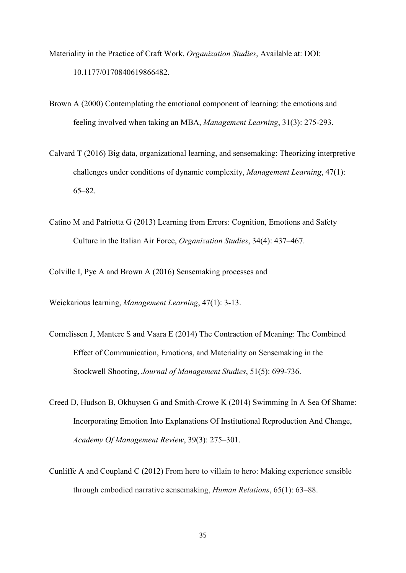- Materiality in the Practice of Craft Work, *Organization Studies*, Available at: DOI: 10.1177/0170840619866482.
- Brown A (2000) Contemplating the emotional component of learning: the emotions and feeling involved when taking an MBA, *Management Learning*, 31(3): 275-293.
- Calvard T (2016) Big data, organizational learning, and sensemaking: Theorizing interpretive challenges under conditions of dynamic complexity, *Management Learning*, 47(1): 65–82.
- Catino M and Patriotta G (2013) Learning from Errors: Cognition, Emotions and Safety Culture in the Italian Air Force, *Organization Studies*, 34(4): 437–467.

Colville I, Pye A and Brown A (2016) Sensemaking processes and

Weickarious learning, *Management Learning*, 47(1): 3-13.

- Cornelissen J, Mantere S and Vaara E (2014) The Contraction of Meaning: The Combined Effect of Communication, Emotions, and Materiality on Sensemaking in the Stockwell Shooting, *Journal of Management Studies*, 51(5): 699-736.
- Creed D, Hudson B, Okhuysen G and Smith-Crowe K (2014) Swimming In A Sea Of Shame: Incorporating Emotion Into Explanations Of Institutional Reproduction And Change, *Academy Of Management Review*, 39(3): 275–301.
- Cunliffe A and Coupland C (2012) From hero to villain to hero: Making experience sensible through embodied narrative sensemaking, *Human Relations*, 65(1): 63–88.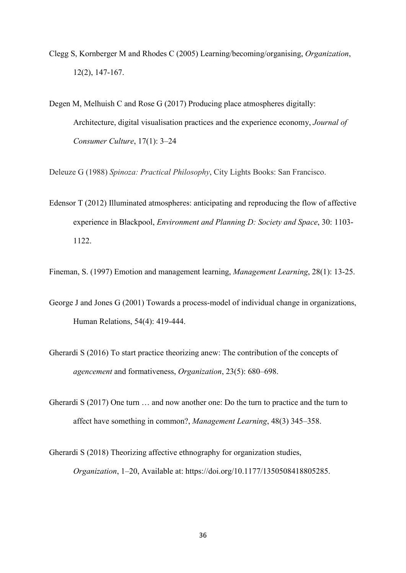- Clegg S, Kornberger M and Rhodes C (2005) Learning/becoming/organising, *Organization*, 12(2), 147-167.
- Degen M, Melhuish C and Rose G (2017) Producing place atmospheres digitally: Architecture, digital visualisation practices and the experience economy, *Journal of Consumer Culture*, 17(1): 3–24

Deleuze G (1988) *Spinoza: Practical Philosophy*, City Lights Books: San Francisco.

Edensor T (2012) Illuminated atmospheres: anticipating and reproducing the flow of affective experience in Blackpool, *Environment and Planning D: Society and Space*, 30: 1103- 1122.

Fineman, S. (1997) Emotion and management learning, *Management Learning*, 28(1): 13-25.

- George J and Jones G (2001) Towards a process-model of individual change in organizations, Human Relations, 54(4): 419-444.
- Gherardi S (2016) To start practice theorizing anew: The contribution of the concepts of *agencement* and formativeness, *Organization*, 23(5): 680–698.
- Gherardi S (2017) One turn … and now another one: Do the turn to practice and the turn to affect have something in common?, *Management Learning*, 48(3) 345–358.
- Gherardi S (2018) Theorizing affective ethnography for organization studies, *Organization*, 1–20, Available at: https://doi.org/10.1177/1350508418805285.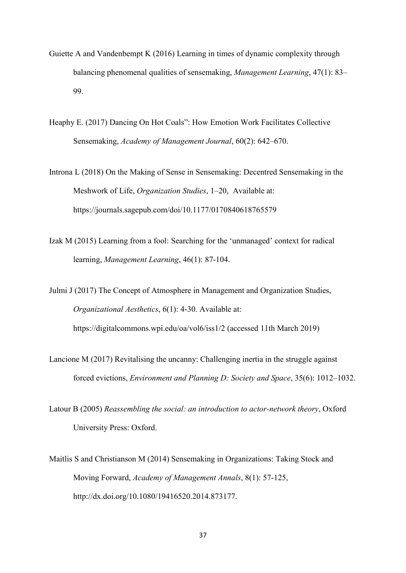- Guiette A and Vandenbempt K (2016) Learning in times of dynamic complexity through balancing phenomenal qualities of sensemaking, *Management Learning*, 47(1): 83– 99.
- Heaphy E. (2017) Dancing On Hot Coals": How Emotion Work Facilitates Collective Sensemaking, *Academy of Management Journal*, 60(2): 642–670.
- Introna L (2018) On the Making of Sense in Sensemaking: Decentred Sensemaking in the Meshwork of Life, *Organization Studies*, 1–20, Available at: https://journals.sagepub.com/doi/10.1177/0170840618765579
- Izak M (2015) Learning from a fool: Searching for the 'unmanaged' context for radical learning, *Management Learning*, 46(1): 87-104.

Julmi J (2017) The Concept of Atmosphere in Management and Organization Studies, *Organizational Aesthetics*, 6(1): 4-30. Available at: https://digitalcommons.wpi.edu/oa/vol6/iss1/2 (accessed 11th March 2019)

- Lancione M (2017) Revitalising the uncanny: Challenging inertia in the struggle against forced evictions, *Environment and Planning D: Society and Space*, 35(6): 1012–1032.
- Latour B (2005) *Reassembling the social: an introduction to actor-network theory*, Oxford University Press: Oxford.
- Maitlis S and Christianson M (2014) Sensemaking in Organizations: Taking Stock and Moving Forward, *Academy of Management Annals*, 8(1): 57-125, http://dx.doi.org/10.1080/19416520.2014.873177.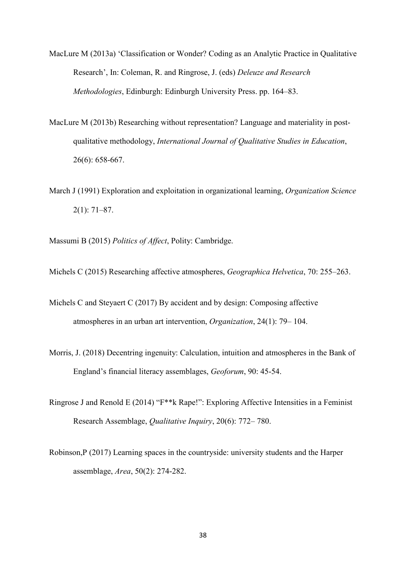- MacLure M (2013a) 'Classification or Wonder? Coding as an Analytic Practice in Qualitative Research', In: Coleman, R. and Ringrose, J. (eds) *Deleuze and Research Methodologies*, Edinburgh: Edinburgh University Press. pp. 164–83.
- MacLure M (2013b) Researching without representation? Language and materiality in postqualitative methodology, *International Journal of Qualitative Studies in Education*, 26(6): 658-667.
- March J (1991) Exploration and exploitation in organizational learning, *Organization Science*  2(1): 71–87.
- Massumi B (2015) *Politics of Affect*, Polity: Cambridge.
- Michels C (2015) Researching affective atmospheres, *Geographica Helvetica*, 70: 255–263.
- Michels C and Steyaert C (2017) By accident and by design: Composing affective atmospheres in an urban art intervention, *Organization*, 24(1): 79– 104.
- Morris, J. (2018) Decentring ingenuity: Calculation, intuition and atmospheres in the Bank of England's financial literacy assemblages, *Geoforum*, 90: 45-54.
- Ringrose J and Renold E (2014) "F\*\*k Rape!": Exploring Affective Intensities in a Feminist Research Assemblage, *Qualitative Inquiry*, 20(6): 772– 780.
- Robinson,P (2017) Learning spaces in the countryside: university students and the Harper assemblage, *Area*, 50(2): 274-282.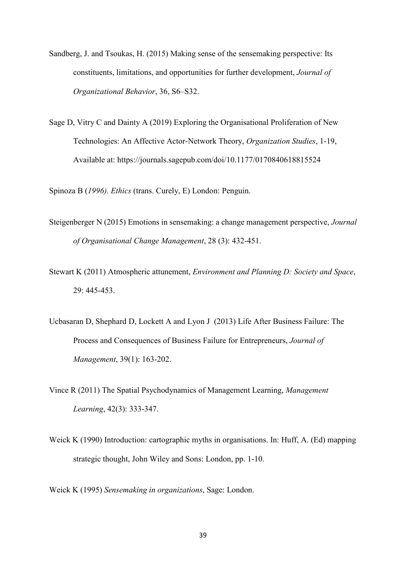- Sandberg, J. and Tsoukas, H. (2015) Making sense of the sensemaking perspective: Its constituents, limitations, and opportunities for further development, *Journal of Organizational Behavior*, 36, S6–S32.
- Sage D, Vitry C and Dainty A (2019) Exploring the Organisational Proliferation of New Technologies: An Affective Actor-Network Theory, *Organization Studies*, 1-19, Available at: https://journals.sagepub.com/doi/10.1177/0170840618815524

Spinoza B (*1996). Ethics* (trans. Curely, E) London: Penguin.

- Steigenberger N (2015) Emotions in sensemaking: a change management perspective, *Journal of Organisational Change Management*, 28 (3): 432-451.
- Stewart K (2011) Atmospheric attunement, *Environment and Planning D: Society and Space*, 29: 445-453.
- Ucbasaran D, Shephard D, Lockett A and Lyon J (2013) Life After Business Failure: The Process and Consequences of Business Failure for Entrepreneurs, *Journal of Management*, 39(1): 163-202.
- Vince R (2011) The Spatial Psychodynamics of Management Learning, *Management Learning*, 42(3): 333-347.
- Weick K (1990) Introduction: cartographic myths in organisations. In: Huff, A. (Ed) mapping strategic thought, John Wiley and Sons: London, pp. 1-10.
- Weick K (1995) *Sensemaking in organizations*, Sage: London.